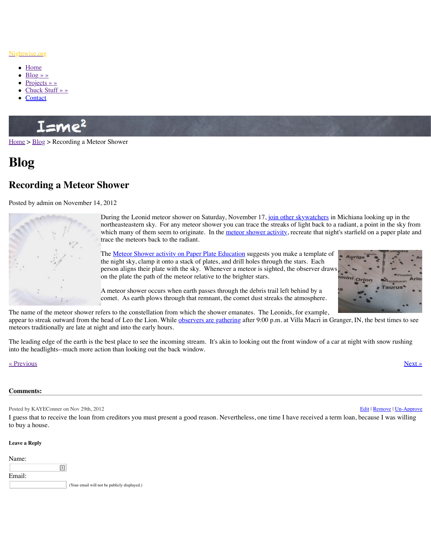

During the Leonid meteor shower on Saturday, November 17, join other skywatchers in Michiana looking up in the northeasteastern sky. For any meteor shower you can trace which many of them seem to originate. In the meteor show trace the meteors back to the radiant.

The <u>Meteor Shower activity on Paper Plate Education</u> suggest the night sky, clamp it onto a stack of plates, and drill hole person aligns their plate with the sky. Whenever a meteor on the plate the path of the meteor relative to the brighter

A meteor shower occurs when earth passes through the de comet. As earth plows through that remnant, the comet dust streaks the streaks that streaks the atmosphere.

The n[ame of t](http://www.nightwise.org/contact/)[he meteo](http://www.nightwise.org/chuck-stuff/)r shower refers to the constellation from which the shower emanates. appear to streak outward from the head of Leo the Lion. While observers are gathering after meteors traditionally are late at night and into the early hours.

The leading edge of the earth is the best place to see the incoming stream. It's akin to looking into the headlights--much more action than looking out the back window.

## [« Prev](http://www.nightwise.org/)io[us](http://www.nightwise.org/blog/) » Next » Next » Next » Next » Next » Next » Next » Next » Next » Next » Next » Next » Next » Next » Next » Next » Next » Next » Next » Next » Next » Next » Next » Next » Next » Next » Next » Next » Next » Next »

## **Comments:**

Posted by KAYEConner on Nov 29th, 2012

I guess that to receive the loan from creditors you must present a good reason. Nevertheless, to buy a house.

## **Leave a Reply**

| Name:  |   |                                              |
|--------|---|----------------------------------------------|
|        | ы |                                              |
| Email: |   |                                              |
|        |   | (Your email will not be publicly displayed.) |